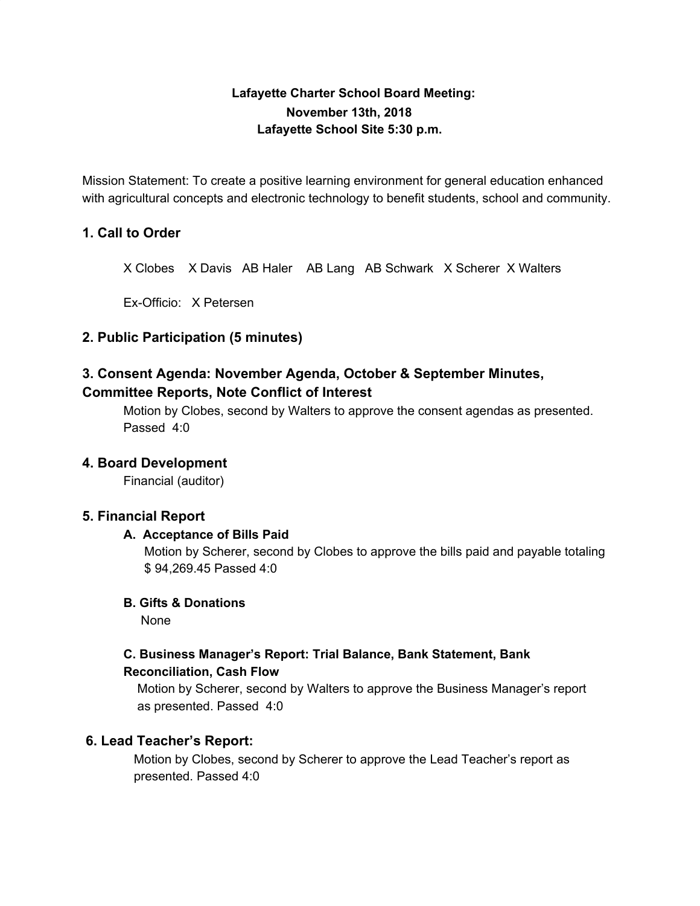# **Lafayette Charter School Board Meeting: November 13th, 2018 Lafayette School Site 5:30 p.m.**

Mission Statement: To create a positive learning environment for general education enhanced with agricultural concepts and electronic technology to benefit students, school and community.

## **1. Call to Order**

X Clobes X Davis AB Haler AB Lang AB Schwark X Scherer X Walters

Ex-Officio: X Petersen

### **2. Public Participation (5 minutes)**

# **3. Consent Agenda: November Agenda, October & September Minutes, Committee Reports, Note Conflict of Interest**

Motion by Clobes, second by Walters to approve the consent agendas as presented. Passed 4:0

#### **4. Board Development**

Financial (auditor)

#### **5. Financial Report**

#### **A. Acceptance of Bills Paid**

Motion by Scherer, second by Clobes to approve the bills paid and payable totaling \$ 94,269.45 Passed 4:0

#### **B. Gifts & Donations**

None

## **C. Business Manager's Report: Trial Balance, Bank Statement, Bank Reconciliation, Cash Flow**

Motion by Scherer, second by Walters to approve the Business Manager's report as presented. Passed 4:0

#### **6. Lead Teacher's Report:**

Motion by Clobes, second by Scherer to approve the Lead Teacher's report as presented. Passed 4:0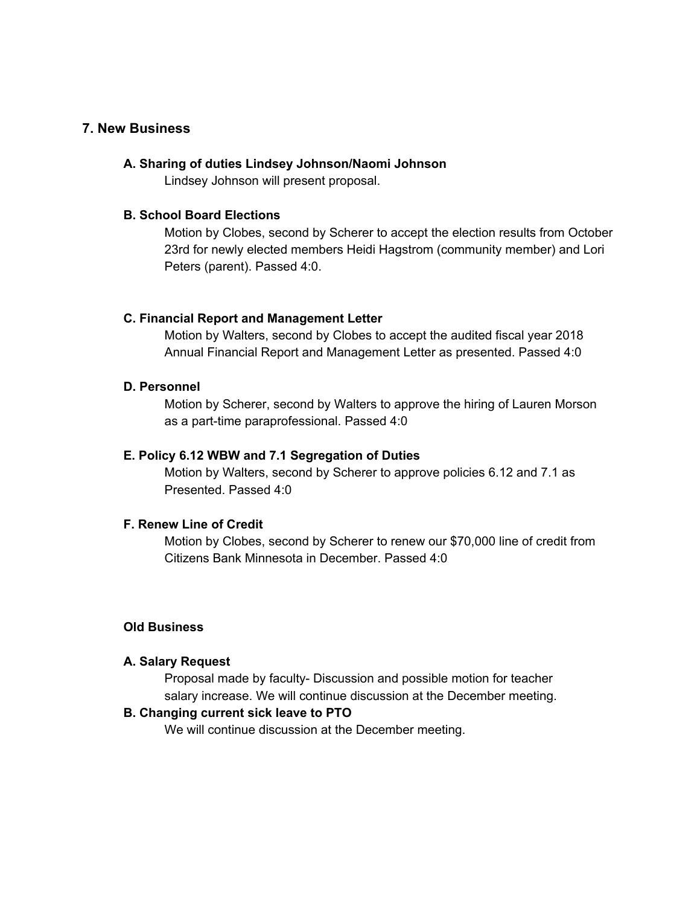#### **7. New Business**

#### **A. Sharing of duties Lindsey Johnson/Naomi Johnson**

Lindsey Johnson will present proposal.

#### **B. School Board Elections**

Motion by Clobes, second by Scherer to accept the election results from October 23rd for newly elected members Heidi Hagstrom (community member) and Lori Peters (parent). Passed 4:0.

#### **C. Financial Report and Management Letter**

Motion by Walters, second by Clobes to accept the audited fiscal year 2018 Annual Financial Report and Management Letter as presented. Passed 4:0

#### **D. Personnel**

Motion by Scherer, second by Walters to approve the hiring of Lauren Morson as a part-time paraprofessional. Passed 4:0

#### **E. Policy 6.12 WBW and 7.1 Segregation of Duties**

Motion by Walters, second by Scherer to approve policies 6.12 and 7.1 as Presented. Passed 4:0

#### **F. Renew Line of Credit**

Motion by Clobes, second by Scherer to renew our \$70,000 line of credit from Citizens Bank Minnesota in December. Passed 4:0

#### **Old Business**

#### **A. Salary Request**

Proposal made by faculty- Discussion and possible motion for teacher salary increase. We will continue discussion at the December meeting.

#### **B. Changing current sick leave to PTO**

We will continue discussion at the December meeting.